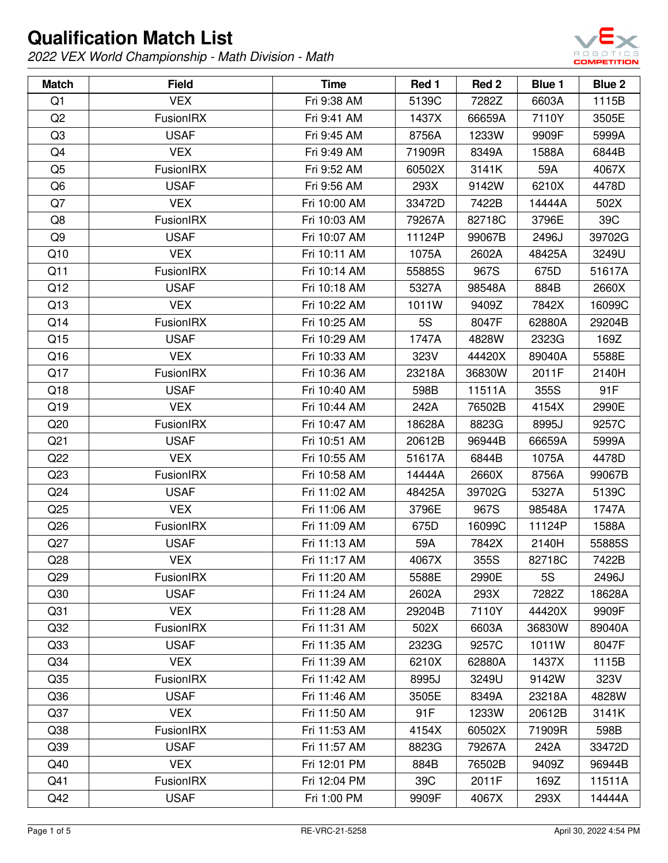

| <b>Match</b>    | <b>Field</b>     | <b>Time</b>  | Red 1  | Red 2  | Blue 1 | Blue 2 |
|-----------------|------------------|--------------|--------|--------|--------|--------|
| Q <sub>1</sub>  | <b>VEX</b>       | Fri 9:38 AM  | 5139C  | 7282Z  | 6603A  | 1115B  |
| Q <sub>2</sub>  | FusionIRX        | Fri 9:41 AM  | 1437X  | 66659A | 7110Y  | 3505E  |
| Q <sub>3</sub>  | <b>USAF</b>      | Fri 9:45 AM  | 8756A  | 1233W  | 9909F  | 5999A  |
| Q4              | <b>VEX</b>       | Fri 9:49 AM  | 71909R | 8349A  | 1588A  | 6844B  |
| Q <sub>5</sub>  | FusionIRX        | Fri 9:52 AM  | 60502X | 3141K  | 59A    | 4067X  |
| Q6              | <b>USAF</b>      | Fri 9:56 AM  | 293X   | 9142W  | 6210X  | 4478D  |
| Q7              | <b>VEX</b>       | Fri 10:00 AM | 33472D | 7422B  | 14444A | 502X   |
| Q8              | FusionIRX        | Fri 10:03 AM | 79267A | 82718C | 3796E  | 39C    |
| Q9              | <b>USAF</b>      | Fri 10:07 AM | 11124P | 99067B | 2496J  | 39702G |
| Q10             | <b>VEX</b>       | Fri 10:11 AM | 1075A  | 2602A  | 48425A | 3249U  |
| Q11             | <b>FusionIRX</b> | Fri 10:14 AM | 55885S | 967S   | 675D   | 51617A |
| Q12             | <b>USAF</b>      | Fri 10:18 AM | 5327A  | 98548A | 884B   | 2660X  |
| Q13             | <b>VEX</b>       | Fri 10:22 AM | 1011W  | 9409Z  | 7842X  | 16099C |
| Q14             | FusionIRX        | Fri 10:25 AM | 5S     | 8047F  | 62880A | 29204B |
| Q15             | <b>USAF</b>      | Fri 10:29 AM | 1747A  | 4828W  | 2323G  | 169Z   |
| Q16             | <b>VEX</b>       | Fri 10:33 AM | 323V   | 44420X | 89040A | 5588E  |
| Q17             | FusionIRX        | Fri 10:36 AM | 23218A | 36830W | 2011F  | 2140H  |
| Q18             | <b>USAF</b>      | Fri 10:40 AM | 598B   | 11511A | 355S   | 91F    |
| Q19             | <b>VEX</b>       | Fri 10:44 AM | 242A   | 76502B | 4154X  | 2990E  |
| Q20             | FusionIRX        | Fri 10:47 AM | 18628A | 8823G  | 8995J  | 9257C  |
| Q <sub>21</sub> | <b>USAF</b>      | Fri 10:51 AM | 20612B | 96944B | 66659A | 5999A  |
| Q22             | <b>VEX</b>       | Fri 10:55 AM | 51617A | 6844B  | 1075A  | 4478D  |
| Q23             | FusionIRX        | Fri 10:58 AM | 14444A | 2660X  | 8756A  | 99067B |
| Q <sub>24</sub> | <b>USAF</b>      | Fri 11:02 AM | 48425A | 39702G | 5327A  | 5139C  |
| Q <sub>25</sub> | <b>VEX</b>       | Fri 11:06 AM | 3796E  | 967S   | 98548A | 1747A  |
| Q26             | <b>FusionIRX</b> | Fri 11:09 AM | 675D   | 16099C | 11124P | 1588A  |
| Q27             | <b>USAF</b>      | Fri 11:13 AM | 59A    | 7842X  | 2140H  | 55885S |
| Q28             | <b>VEX</b>       | Fri 11:17 AM | 4067X  | 355S   | 82718C | 7422B  |
| Q29             | <b>FusionIRX</b> | Fri 11:20 AM | 5588E  | 2990E  | 5S     | 2496J  |
| Q30             | <b>USAF</b>      | Fri 11:24 AM | 2602A  | 293X   | 7282Z  | 18628A |
| Q <sub>31</sub> | <b>VEX</b>       | Fri 11:28 AM | 29204B | 7110Y  | 44420X | 9909F  |
| Q <sub>32</sub> | FusionIRX        | Fri 11:31 AM | 502X   | 6603A  | 36830W | 89040A |
| Q <sub>33</sub> | <b>USAF</b>      | Fri 11:35 AM | 2323G  | 9257C  | 1011W  | 8047F  |
| Q <sub>34</sub> | <b>VEX</b>       | Fri 11:39 AM | 6210X  | 62880A | 1437X  | 1115B  |
| Q <sub>35</sub> | FusionIRX        | Fri 11:42 AM | 8995J  | 3249U  | 9142W  | 323V   |
| Q36             | <b>USAF</b>      | Fri 11:46 AM | 3505E  | 8349A  | 23218A | 4828W  |
| Q <sub>37</sub> | <b>VEX</b>       | Fri 11:50 AM | 91F    | 1233W  | 20612B | 3141K  |
| Q <sub>38</sub> | FusionIRX        | Fri 11:53 AM | 4154X  | 60502X | 71909R | 598B   |
| Q <sub>39</sub> | <b>USAF</b>      | Fri 11:57 AM | 8823G  | 79267A | 242A   | 33472D |
| Q40             | <b>VEX</b>       | Fri 12:01 PM | 884B   | 76502B | 9409Z  | 96944B |
| Q41             | FusionIRX        | Fri 12:04 PM | 39C    | 2011F  | 169Z   | 11511A |
| Q42             | <b>USAF</b>      | Fri 1:00 PM  | 9909F  | 4067X  | 293X   | 14444A |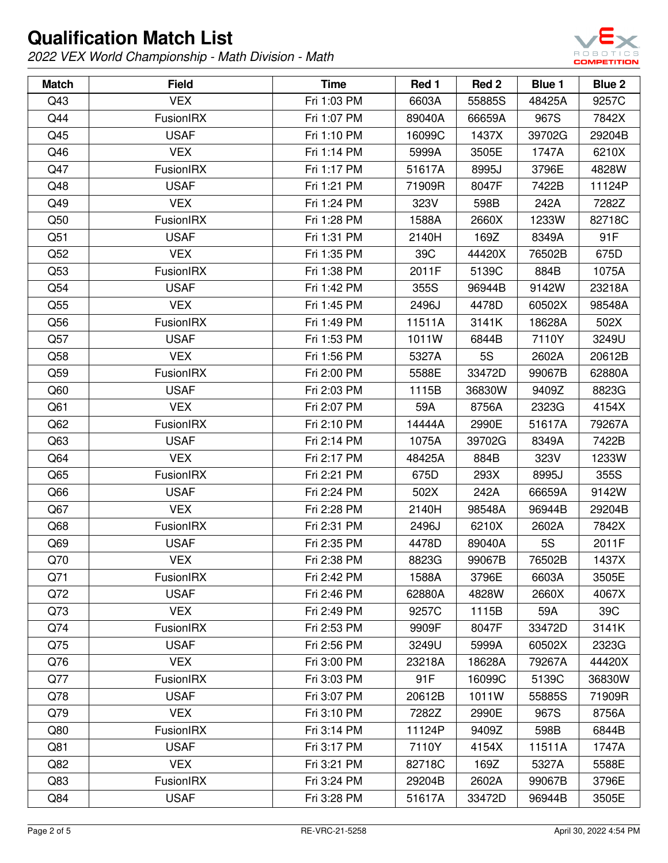

| <b>Match</b>    | <b>Field</b>     | <b>Time</b> | Red 1  | Red 2     | Blue 1    | <b>Blue 2</b> |
|-----------------|------------------|-------------|--------|-----------|-----------|---------------|
| Q43             | <b>VEX</b>       | Fri 1:03 PM | 6603A  | 55885S    | 48425A    | 9257C         |
| Q44             | FusionIRX        | Fri 1:07 PM | 89040A | 66659A    | 967S      | 7842X         |
| Q45             | <b>USAF</b>      | Fri 1:10 PM | 16099C | 1437X     | 39702G    | 29204B        |
| Q46             | <b>VEX</b>       | Fri 1:14 PM | 5999A  | 3505E     | 1747A     | 6210X         |
| Q47             | FusionIRX        | Fri 1:17 PM | 51617A | 8995J     | 3796E     | 4828W         |
| Q48             | <b>USAF</b>      | Fri 1:21 PM | 71909R | 8047F     | 7422B     | 11124P        |
| Q49             | <b>VEX</b>       | Fri 1:24 PM | 323V   | 598B      | 242A      | 7282Z         |
| Q50             | <b>FusionIRX</b> | Fri 1:28 PM | 1588A  | 2660X     | 1233W     | 82718C        |
| Q51             | <b>USAF</b>      | Fri 1:31 PM | 2140H  | 169Z      | 8349A     | 91F           |
| Q52             | <b>VEX</b>       | Fri 1:35 PM | 39C    | 44420X    | 76502B    | 675D          |
| Q53             | <b>FusionIRX</b> | Fri 1:38 PM | 2011F  | 5139C     | 884B      | 1075A         |
| Q54             | <b>USAF</b>      | Fri 1:42 PM | 355S   | 96944B    | 9142W     | 23218A        |
| Q55             | <b>VEX</b>       | Fri 1:45 PM | 2496J  | 4478D     | 60502X    | 98548A        |
| Q56             | FusionIRX        | Fri 1:49 PM | 11511A | 3141K     | 18628A    | 502X          |
| Q57             | <b>USAF</b>      | Fri 1:53 PM | 1011W  | 6844B     | 7110Y     | 3249U         |
| Q58             | <b>VEX</b>       | Fri 1:56 PM | 5327A  | <b>5S</b> | 2602A     | 20612B        |
| Q59             | FusionIRX        | Fri 2:00 PM | 5588E  | 33472D    | 99067B    | 62880A        |
| Q60             | <b>USAF</b>      | Fri 2:03 PM | 1115B  | 36830W    | 9409Z     | 8823G         |
| Q61             | <b>VEX</b>       | Fri 2:07 PM | 59A    | 8756A     | 2323G     | 4154X         |
| Q62             | FusionIRX        | Fri 2:10 PM | 14444A | 2990E     | 51617A    | 79267A        |
| Q63             | <b>USAF</b>      | Fri 2:14 PM | 1075A  | 39702G    | 8349A     | 7422B         |
| Q64             | <b>VEX</b>       | Fri 2:17 PM | 48425A | 884B      | 323V      | 1233W         |
| Q65             | <b>FusionIRX</b> | Fri 2:21 PM | 675D   | 293X      | 8995J     | 355S          |
| Q <sub>66</sub> | <b>USAF</b>      | Fri 2:24 PM | 502X   | 242A      | 66659A    | 9142W         |
| Q67             | <b>VEX</b>       | Fri 2:28 PM | 2140H  | 98548A    | 96944B    | 29204B        |
| Q68             | FusionIRX        | Fri 2:31 PM | 2496J  | 6210X     | 2602A     | 7842X         |
| Q69             | <b>USAF</b>      | Fri 2:35 PM | 4478D  | 89040A    | <b>5S</b> | 2011F         |
| Q70             | <b>VEX</b>       | Fri 2:38 PM | 8823G  | 99067B    | 76502B    | 1437X         |
| Q71             | <b>FusionIRX</b> | Fri 2:42 PM | 1588A  | 3796E     | 6603A     | 3505E         |
| Q72             | <b>USAF</b>      | Fri 2:46 PM | 62880A | 4828W     | 2660X     | 4067X         |
| Q73             | <b>VEX</b>       | Fri 2:49 PM | 9257C  | 1115B     | 59A       | 39C           |
| Q74             | FusionIRX        | Fri 2:53 PM | 9909F  | 8047F     | 33472D    | 3141K         |
| Q75             | <b>USAF</b>      | Fri 2:56 PM | 3249U  | 5999A     | 60502X    | 2323G         |
| Q76             | <b>VEX</b>       | Fri 3:00 PM | 23218A | 18628A    | 79267A    | 44420X        |
| Q77             | FusionIRX        | Fri 3:03 PM | 91F    | 16099C    | 5139C     | 36830W        |
| Q78             | <b>USAF</b>      | Fri 3:07 PM | 20612B | 1011W     | 55885S    | 71909R        |
| Q79             | <b>VEX</b>       | Fri 3:10 PM | 7282Z  | 2990E     | 967S      | 8756A         |
| Q80             | FusionIRX        | Fri 3:14 PM | 11124P | 9409Z     | 598B      | 6844B         |
| Q81             | <b>USAF</b>      | Fri 3:17 PM | 7110Y  | 4154X     | 11511A    | 1747A         |
| Q82             | <b>VEX</b>       | Fri 3:21 PM | 82718C | 169Z      | 5327A     | 5588E         |
| Q83             | <b>FusionIRX</b> | Fri 3:24 PM | 29204B | 2602A     | 99067B    | 3796E         |
| Q84             | <b>USAF</b>      | Fri 3:28 PM | 51617A | 33472D    | 96944B    | 3505E         |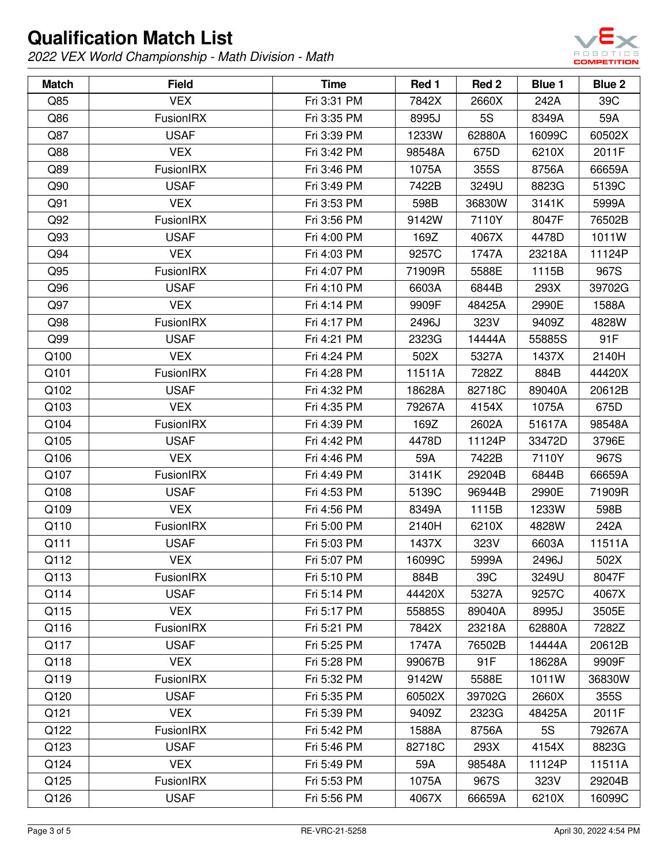

| <b>Match</b> | <b>Field</b> | <b>Time</b> | Red 1  | Red 2  | Blue 1 | <b>Blue 2</b> |
|--------------|--------------|-------------|--------|--------|--------|---------------|
| Q85          | <b>VEX</b>   | Fri 3:31 PM | 7842X  | 2660X  | 242A   | 39C           |
| Q86          | FusionIRX    | Fri 3:35 PM | 8995J  | 5S     | 8349A  | 59A           |
| Q87          | <b>USAF</b>  | Fri 3:39 PM | 1233W  | 62880A | 16099C | 60502X        |
| Q88          | <b>VEX</b>   | Fri 3:42 PM | 98548A | 675D   | 6210X  | 2011F         |
| Q89          | FusionIRX    | Fri 3:46 PM | 1075A  | 355S   | 8756A  | 66659A        |
| Q90          | <b>USAF</b>  | Fri 3:49 PM | 7422B  | 3249U  | 8823G  | 5139C         |
| Q91          | <b>VEX</b>   | Fri 3:53 PM | 598B   | 36830W | 3141K  | 5999A         |
| Q92          | FusionIRX    | Fri 3:56 PM | 9142W  | 7110Y  | 8047F  | 76502B        |
| Q93          | <b>USAF</b>  | Fri 4:00 PM | 169Z   | 4067X  | 4478D  | 1011W         |
| Q94          | <b>VEX</b>   | Fri 4:03 PM | 9257C  | 1747A  | 23218A | 11124P        |
| Q95          | FusionIRX    | Fri 4:07 PM | 71909R | 5588E  | 1115B  | 967S          |
| Q96          | <b>USAF</b>  | Fri 4:10 PM | 6603A  | 6844B  | 293X   | 39702G        |
| Q97          | <b>VEX</b>   | Fri 4:14 PM | 9909F  | 48425A | 2990E  | 1588A         |
| Q98          | FusionIRX    | Fri 4:17 PM | 2496J  | 323V   | 9409Z  | 4828W         |
| Q99          | <b>USAF</b>  | Fri 4:21 PM | 2323G  | 14444A | 55885S | 91F           |
| Q100         | <b>VEX</b>   | Fri 4:24 PM | 502X   | 5327A  | 1437X  | 2140H         |
| Q101         | FusionIRX    | Fri 4:28 PM | 11511A | 7282Z  | 884B   | 44420X        |
| Q102         | <b>USAF</b>  | Fri 4:32 PM | 18628A | 82718C | 89040A | 20612B        |
| Q103         | <b>VEX</b>   | Fri 4:35 PM | 79267A | 4154X  | 1075A  | 675D          |
| Q104         | FusionIRX    | Fri 4:39 PM | 169Z   | 2602A  | 51617A | 98548A        |
| Q105         | <b>USAF</b>  | Fri 4:42 PM | 4478D  | 11124P | 33472D | 3796E         |
| Q106         | <b>VEX</b>   | Fri 4:46 PM | 59A    | 7422B  | 7110Y  | 967S          |
| Q107         | FusionIRX    | Fri 4:49 PM | 3141K  | 29204B | 6844B  | 66659A        |
| Q108         | <b>USAF</b>  | Fri 4:53 PM | 5139C  | 96944B | 2990E  | 71909R        |
| Q109         | <b>VEX</b>   | Fri 4:56 PM | 8349A  | 1115B  | 1233W  | 598B          |
| Q110         | FusionIRX    | Fri 5:00 PM | 2140H  | 6210X  | 4828W  | 242A          |
| Q111         | <b>USAF</b>  | Fri 5:03 PM | 1437X  | 323V   | 6603A  | 11511A        |
| Q112         | <b>VEX</b>   | Fri 5:07 PM | 16099C | 5999A  | 2496J  | 502X          |
| Q113         | FusionIRX    | Fri 5:10 PM | 884B   | 39C    | 3249U  | 8047F         |
| Q114         | <b>USAF</b>  | Fri 5:14 PM | 44420X | 5327A  | 9257C  | 4067X         |
| Q115         | <b>VEX</b>   | Fri 5:17 PM | 55885S | 89040A | 8995J  | 3505E         |
| Q116         | FusionIRX    | Fri 5:21 PM | 7842X  | 23218A | 62880A | 7282Z         |
| Q117         | <b>USAF</b>  | Fri 5:25 PM | 1747A  | 76502B | 14444A | 20612B        |
| Q118         | <b>VEX</b>   | Fri 5:28 PM | 99067B | 91F    | 18628A | 9909F         |
| Q119         | FusionIRX    | Fri 5:32 PM | 9142W  | 5588E  | 1011W  | 36830W        |
| Q120         | <b>USAF</b>  | Fri 5:35 PM | 60502X | 39702G | 2660X  | 355S          |
| Q121         | <b>VEX</b>   | Fri 5:39 PM | 9409Z  | 2323G  | 48425A | 2011F         |
| Q122         | FusionIRX    | Fri 5:42 PM | 1588A  | 8756A  | 5S     | 79267A        |
| Q123         | <b>USAF</b>  | Fri 5:46 PM | 82718C | 293X   | 4154X  | 8823G         |
| Q124         | <b>VEX</b>   | Fri 5:49 PM | 59A    | 98548A | 11124P | 11511A        |
| Q125         | FusionIRX    | Fri 5:53 PM | 1075A  | 967S   | 323V   | 29204B        |
| Q126         | <b>USAF</b>  | Fri 5:56 PM | 4067X  | 66659A | 6210X  | 16099C        |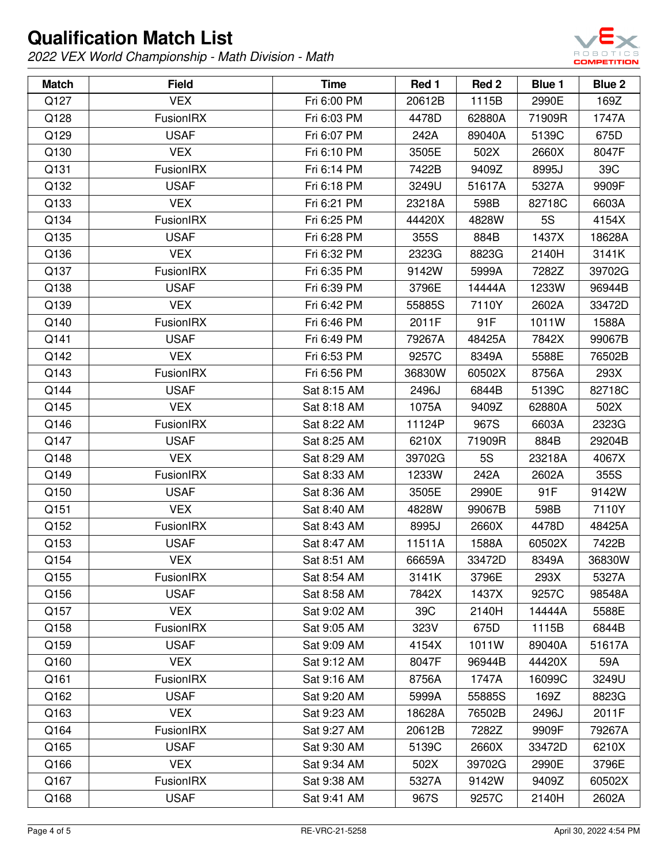

| <b>Match</b> | <b>Field</b>     | <b>Time</b> | Red 1  | Red 2     | Blue 1 | <b>Blue 2</b> |
|--------------|------------------|-------------|--------|-----------|--------|---------------|
| Q127         | <b>VEX</b>       | Fri 6:00 PM | 20612B | 1115B     | 2990E  | 169Z          |
| Q128         | <b>FusionIRX</b> | Fri 6:03 PM | 4478D  | 62880A    | 71909R | 1747A         |
| Q129         | <b>USAF</b>      | Fri 6:07 PM | 242A   | 89040A    | 5139C  | 675D          |
| Q130         | <b>VEX</b>       | Fri 6:10 PM | 3505E  | 502X      | 2660X  | 8047F         |
| Q131         | <b>FusionIRX</b> | Fri 6:14 PM | 7422B  | 9409Z     | 8995J  | 39C           |
| Q132         | <b>USAF</b>      | Fri 6:18 PM | 3249U  | 51617A    | 5327A  | 9909F         |
| Q133         | <b>VEX</b>       | Fri 6:21 PM | 23218A | 598B      | 82718C | 6603A         |
| Q134         | <b>FusionIRX</b> | Fri 6:25 PM | 44420X | 4828W     | 5S     | 4154X         |
| Q135         | <b>USAF</b>      | Fri 6:28 PM | 355S   | 884B      | 1437X  | 18628A        |
| Q136         | <b>VEX</b>       | Fri 6:32 PM | 2323G  | 8823G     | 2140H  | 3141K         |
| Q137         | <b>FusionIRX</b> | Fri 6:35 PM | 9142W  | 5999A     | 7282Z  | 39702G        |
| Q138         | <b>USAF</b>      | Fri 6:39 PM | 3796E  | 14444A    | 1233W  | 96944B        |
| Q139         | <b>VEX</b>       | Fri 6:42 PM | 55885S | 7110Y     | 2602A  | 33472D        |
| Q140         | FusionIRX        | Fri 6:46 PM | 2011F  | 91F       | 1011W  | 1588A         |
| Q141         | <b>USAF</b>      | Fri 6:49 PM | 79267A | 48425A    | 7842X  | 99067B        |
| Q142         | <b>VEX</b>       | Fri 6:53 PM | 9257C  | 8349A     | 5588E  | 76502B        |
| Q143         | <b>FusionIRX</b> | Fri 6:56 PM | 36830W | 60502X    | 8756A  | 293X          |
| Q144         | <b>USAF</b>      | Sat 8:15 AM | 2496J  | 6844B     | 5139C  | 82718C        |
| Q145         | <b>VEX</b>       | Sat 8:18 AM | 1075A  | 9409Z     | 62880A | 502X          |
| Q146         | FusionIRX        | Sat 8:22 AM | 11124P | 967S      | 6603A  | 2323G         |
| Q147         | <b>USAF</b>      | Sat 8:25 AM | 6210X  | 71909R    | 884B   | 29204B        |
| Q148         | <b>VEX</b>       | Sat 8:29 AM | 39702G | <b>5S</b> | 23218A | 4067X         |
| Q149         | <b>FusionIRX</b> | Sat 8:33 AM | 1233W  | 242A      | 2602A  | 355S          |
| Q150         | <b>USAF</b>      | Sat 8:36 AM | 3505E  | 2990E     | 91F    | 9142W         |
| Q151         | <b>VEX</b>       | Sat 8:40 AM | 4828W  | 99067B    | 598B   | 7110Y         |
| Q152         | <b>FusionIRX</b> | Sat 8:43 AM | 8995J  | 2660X     | 4478D  | 48425A        |
| Q153         | <b>USAF</b>      | Sat 8:47 AM | 11511A | 1588A     | 60502X | 7422B         |
| Q154         | <b>VEX</b>       | Sat 8:51 AM | 66659A | 33472D    | 8349A  | 36830W        |
| Q155         | <b>FusionIRX</b> | Sat 8:54 AM | 3141K  | 3796E     | 293X   | 5327A         |
| Q156         | <b>USAF</b>      | Sat 8:58 AM | 7842X  | 1437X     | 9257C  | 98548A        |
| Q157         | <b>VEX</b>       | Sat 9:02 AM | 39C    | 2140H     | 14444A | 5588E         |
| Q158         | FusionIRX        | Sat 9:05 AM | 323V   | 675D      | 1115B  | 6844B         |
| Q159         | <b>USAF</b>      | Sat 9:09 AM | 4154X  | 1011W     | 89040A | 51617A        |
| Q160         | <b>VEX</b>       | Sat 9:12 AM | 8047F  | 96944B    | 44420X | 59A           |
| Q161         | FusionIRX        | Sat 9:16 AM | 8756A  | 1747A     | 16099C | 3249U         |
| Q162         | <b>USAF</b>      | Sat 9:20 AM | 5999A  | 55885S    | 169Z   | 8823G         |
| Q163         | <b>VEX</b>       | Sat 9:23 AM | 18628A | 76502B    | 2496J  | 2011F         |
| Q164         | FusionIRX        | Sat 9:27 AM | 20612B | 7282Z     | 9909F  | 79267A        |
| Q165         | <b>USAF</b>      | Sat 9:30 AM | 5139C  | 2660X     | 33472D | 6210X         |
| Q166         | <b>VEX</b>       | Sat 9:34 AM | 502X   | 39702G    | 2990E  | 3796E         |
| Q167         | <b>FusionIRX</b> | Sat 9:38 AM | 5327A  | 9142W     | 9409Z  | 60502X        |
| Q168         | <b>USAF</b>      | Sat 9:41 AM | 967S   | 9257C     | 2140H  | 2602A         |